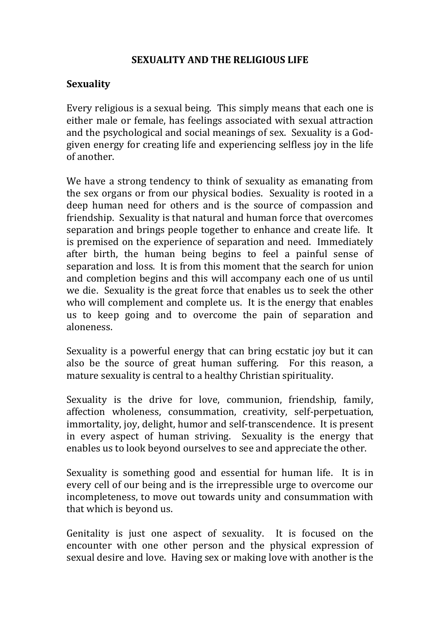#### **SEXUALITY AND THE RELIGIOUS LIFE**

#### **Sexuality**

Every religious is a sexual being. This simply means that each one is either male or female, has feelings associated with sexual attraction and the psychological and social meanings of sex. Sexuality is a Godgiven energy for creating life and experiencing selfless joy in the life of another.

We have a strong tendency to think of sexuality as emanating from the sex organs or from our physical bodies. Sexuality is rooted in a deep human need for others and is the source of compassion and friendship. Sexuality is that natural and human force that overcomes separation and brings people together to enhance and create life. It is premised on the experience of separation and need. Immediately after birth, the human being begins to feel a painful sense of separation and loss. It is from this moment that the search for union and completion begins and this will accompany each one of us until we die. Sexuality is the great force that enables us to seek the other who will complement and complete us. It is the energy that enables us to keep going and to overcome the pain of separation and aloneness.

Sexuality is a powerful energy that can bring ecstatic joy but it can also be the source of great human suffering. For this reason, a mature sexuality is central to a healthy Christian spirituality.

Sexuality is the drive for love, communion, friendship, family, affection wholeness, consummation, creativity, self-perpetuation, immortality, joy, delight, humor and self-transcendence. It is present in every aspect of human striving. Sexuality is the energy that enables us to look beyond ourselves to see and appreciate the other.

Sexuality is something good and essential for human life. It is in every cell of our being and is the irrepressible urge to overcome our incompleteness, to move out towards unity and consummation with that which is beyond us.

Genitality is just one aspect of sexuality. It is focused on the encounter with one other person and the physical expression of sexual desire and love. Having sex or making love with another is the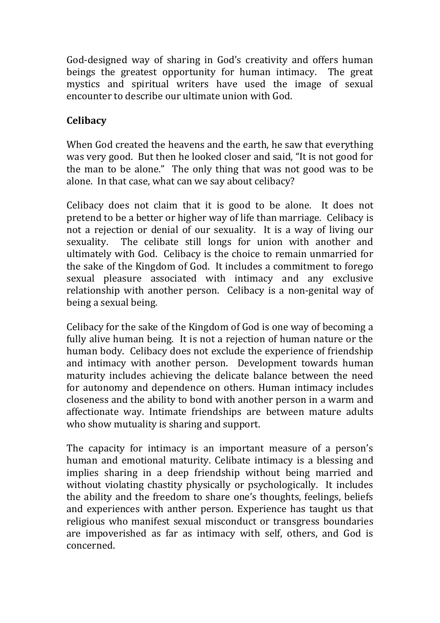God-designed way of sharing in God's creativity and offers human beings the greatest opportunity for human intimacy. The great mystics and spiritual writers have used the image of sexual encounter to describe our ultimate union with God.

## **Celibacy**

When God created the heavens and the earth, he saw that everything was very good. But then he looked closer and said, "It is not good for the man to be alone." The only thing that was not good was to be alone. In that case, what can we say about celibacy?

Celibacy does not claim that it is good to be alone. It does not pretend to be a better or higher way of life than marriage. Celibacy is not a rejection or denial of our sexuality. It is a way of living our sexuality. The celibate still longs for union with another and ultimately with God. Celibacy is the choice to remain unmarried for the sake of the Kingdom of God. It includes a commitment to forego sexual pleasure associated with intimacy and any exclusive relationship with another person. Celibacy is a non-genital way of being a sexual being.

Celibacy for the sake of the Kingdom of God is one way of becoming a fully alive human being. It is not a rejection of human nature or the human body. Celibacy does not exclude the experience of friendship and intimacy with another person. Development towards human maturity includes achieving the delicate balance between the need for autonomy and dependence on others. Human intimacy includes closeness and the ability to bond with another person in a warm and affectionate way. Intimate friendships are between mature adults who show mutuality is sharing and support.

The capacity for intimacy is an important measure of a person's human and emotional maturity. Celibate intimacy is a blessing and implies sharing in a deep friendship without being married and without violating chastity physically or psychologically. It includes the ability and the freedom to share one's thoughts, feelings, beliefs and experiences with anther person. Experience has taught us that religious who manifest sexual misconduct or transgress boundaries are impoverished as far as intimacy with self, others, and God is concerned.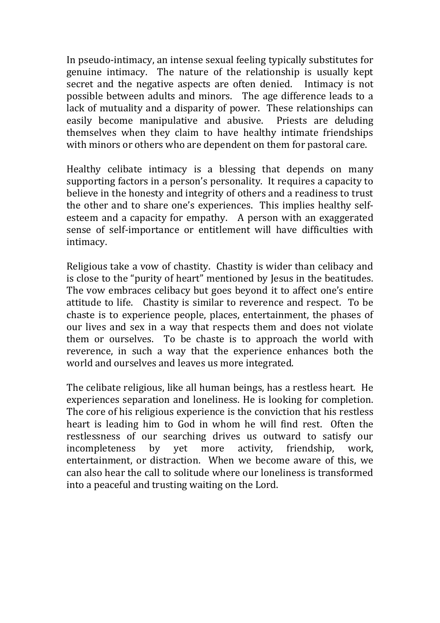In pseudo-intimacy, an intense sexual feeling typically substitutes for genuine intimacy. The nature of the relationship is usually kept secret and the negative aspects are often denied. Intimacy is not possible between adults and minors. The age difference leads to a lack of mutuality and a disparity of power. These relationships can easily become manipulative and abusive. Priests are deluding themselves when they claim to have healthy intimate friendships with minors or others who are dependent on them for pastoral care.

Healthy celibate intimacy is a blessing that depends on many supporting factors in a person's personality. It requires a capacity to believe in the honesty and integrity of others and a readiness to trust the other and to share one's experiences. This implies healthy selfesteem and a capacity for empathy. A person with an exaggerated sense of self-importance or entitlement will have difficulties with intimacy.

Religious take a vow of chastity. Chastity is wider than celibacy and is close to the "purity of heart" mentioned by Jesus in the beatitudes. The vow embraces celibacy but goes beyond it to affect one's entire attitude to life. Chastity is similar to reverence and respect. To be chaste is to experience people, places, entertainment, the phases of our lives and sex in a way that respects them and does not violate them or ourselves. To be chaste is to approach the world with reverence, in such a way that the experience enhances both the world and ourselves and leaves us more integrated.

The celibate religious, like all human beings, has a restless heart. He experiences separation and loneliness. He is looking for completion. The core of his religious experience is the conviction that his restless heart is leading him to God in whom he will find rest. Often the restlessness of our searching drives us outward to satisfy our incompleteness by yet more activity, friendship, work, entertainment, or distraction. When we become aware of this, we can also hear the call to solitude where our loneliness is transformed into a peaceful and trusting waiting on the Lord.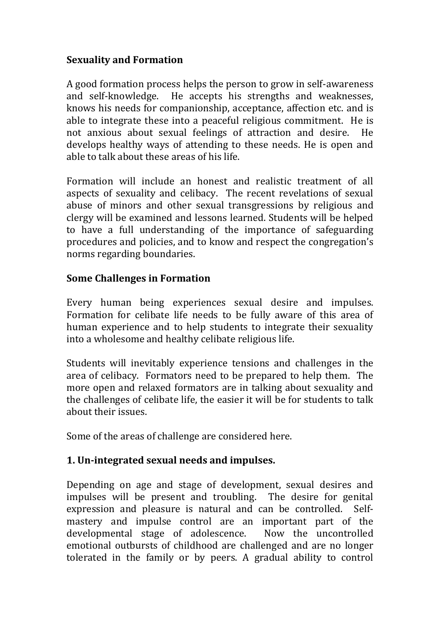### **Sexuality and Formation**

A good formation process helps the person to grow in self-awareness and self-knowledge. He accepts his strengths and weaknesses, knows his needs for companionship, acceptance, affection etc. and is able to integrate these into a peaceful religious commitment. He is not anxious about sexual feelings of attraction and desire. He develops healthy ways of attending to these needs. He is open and able to talk about these areas of his life.

Formation will include an honest and realistic treatment of all aspects of sexuality and celibacy. The recent revelations of sexual abuse of minors and other sexual transgressions by religious and clergy will be examined and lessons learned. Students will be helped to have a full understanding of the importance of safeguarding procedures and policies, and to know and respect the congregation's norms regarding boundaries.

#### **Some Challenges in Formation**

Every human being experiences sexual desire and impulses. Formation for celibate life needs to be fully aware of this area of human experience and to help students to integrate their sexuality into a wholesome and healthy celibate religious life.

Students will inevitably experience tensions and challenges in the area of celibacy. Formators need to be prepared to help them. The more open and relaxed formators are in talking about sexuality and the challenges of celibate life, the easier it will be for students to talk about their issues.

Some of the areas of challenge are considered here.

## **1. Un-integrated sexual needs and impulses.**

Depending on age and stage of development, sexual desires and impulses will be present and troubling. The desire for genital expression and pleasure is natural and can be controlled. Selfmastery and impulse control are an important part of the developmental stage of adolescence. Now the uncontrolled emotional outbursts of childhood are challenged and are no longer tolerated in the family or by peers. A gradual ability to control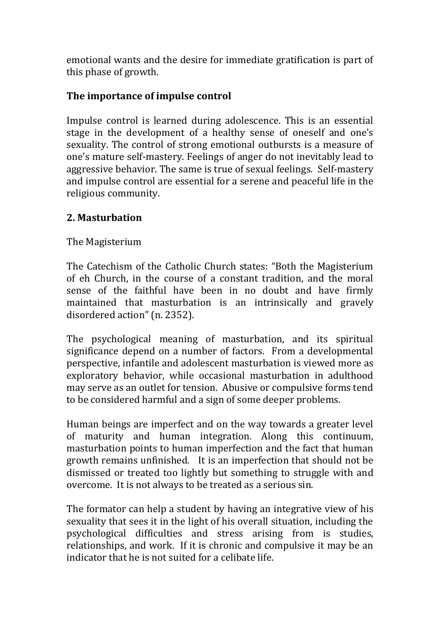emotional wants and the desire for immediate gratification is part of this phase of growth.

### **The importance of impulse control**

Impulse control is learned during adolescence. This is an essential stage in the development of a healthy sense of oneself and one's sexuality. The control of strong emotional outbursts is a measure of one's mature self-mastery. Feelings of anger do not inevitably lead to aggressive behavior. The same is true of sexual feelings. Self-mastery and impulse control are essential for a serene and peaceful life in the religious community.

### **2. Masturbation**

The Magisterium

The Catechism of the Catholic Church states: "Both the Magisterium of eh Church, in the course of a constant tradition, and the moral sense of the faithful have been in no doubt and have firmly maintained that masturbation is an intrinsically and gravely disordered action" (n. 2352).

The psychological meaning of masturbation, and its spiritual significance depend on a number of factors. From a developmental perspective, infantile and adolescent masturbation is viewed more as exploratory behavior, while occasional masturbation in adulthood may serve as an outlet for tension. Abusive or compulsive forms tend to be considered harmful and a sign of some deeper problems.

Human beings are imperfect and on the way towards a greater level of maturity and human integration. Along this continuum, masturbation points to human imperfection and the fact that human growth remains unfinished. It is an imperfection that should not be dismissed or treated too lightly but something to struggle with and overcome. It is not always to be treated as a serious sin.

The formator can help a student by having an integrative view of his sexuality that sees it in the light of his overall situation, including the psychological difficulties and stress arising from is studies, relationships, and work. If it is chronic and compulsive it may be an indicator that he is not suited for a celibate life.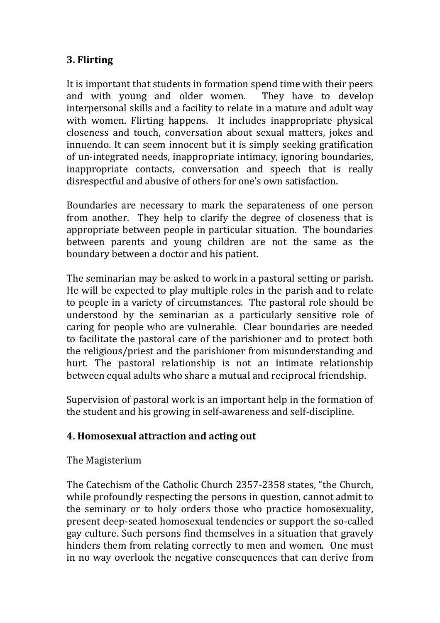## **3. Flirting**

It is important that students in formation spend time with their peers and with young and older women. They have to develop interpersonal skills and a facility to relate in a mature and adult way with women. Flirting happens. It includes inappropriate physical closeness and touch, conversation about sexual matters, jokes and innuendo. It can seem innocent but it is simply seeking gratification of un-integrated needs, inappropriate intimacy, ignoring boundaries, inappropriate contacts, conversation and speech that is really disrespectful and abusive of others for one's own satisfaction.

Boundaries are necessary to mark the separateness of one person from another. They help to clarify the degree of closeness that is appropriate between people in particular situation. The boundaries between parents and young children are not the same as the boundary between a doctor and his patient.

The seminarian may be asked to work in a pastoral setting or parish. He will be expected to play multiple roles in the parish and to relate to people in a variety of circumstances. The pastoral role should be understood by the seminarian as a particularly sensitive role of caring for people who are vulnerable. Clear boundaries are needed to facilitate the pastoral care of the parishioner and to protect both the religious/priest and the parishioner from misunderstanding and hurt. The pastoral relationship is not an intimate relationship between equal adults who share a mutual and reciprocal friendship.

Supervision of pastoral work is an important help in the formation of the student and his growing in self-awareness and self-discipline.

## **4. Homosexual attraction and acting out**

## The Magisterium

The Catechism of the Catholic Church 2357-2358 states, "the Church, while profoundly respecting the persons in question, cannot admit to the seminary or to holy orders those who practice homosexuality, present deep-seated homosexual tendencies or support the so-called gay culture. Such persons find themselves in a situation that gravely hinders them from relating correctly to men and women. One must in no way overlook the negative consequences that can derive from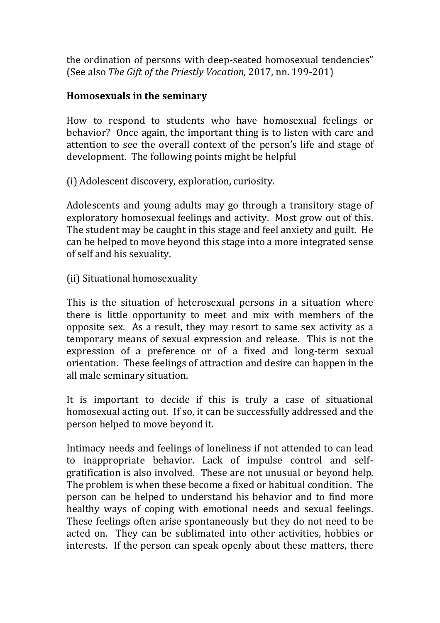the ordination of persons with deep-seated homosexual tendencies" (See also *The Gift of the Priestly Vocation,* 2017, nn. 199-201)

#### **Homosexuals in the seminary**

How to respond to students who have homosexual feelings or behavior? Once again, the important thing is to listen with care and attention to see the overall context of the person's life and stage of development. The following points might be helpful

(i) Adolescent discovery, exploration, curiosity.

Adolescents and young adults may go through a transitory stage of exploratory homosexual feelings and activity. Most grow out of this. The student may be caught in this stage and feel anxiety and guilt. He can be helped to move beyond this stage into a more integrated sense of self and his sexuality.

(ii) Situational homosexuality

This is the situation of heterosexual persons in a situation where there is little opportunity to meet and mix with members of the opposite sex. As a result, they may resort to same sex activity as a temporary means of sexual expression and release. This is not the expression of a preference or of a fixed and long-term sexual orientation. These feelings of attraction and desire can happen in the all male seminary situation.

It is important to decide if this is truly a case of situational homosexual acting out. If so, it can be successfully addressed and the person helped to move beyond it.

Intimacy needs and feelings of loneliness if not attended to can lead to inappropriate behavior. Lack of impulse control and selfgratification is also involved. These are not unusual or beyond help. The problem is when these become a fixed or habitual condition. The person can be helped to understand his behavior and to find more healthy ways of coping with emotional needs and sexual feelings. These feelings often arise spontaneously but they do not need to be acted on. They can be sublimated into other activities, hobbies or interests. If the person can speak openly about these matters, there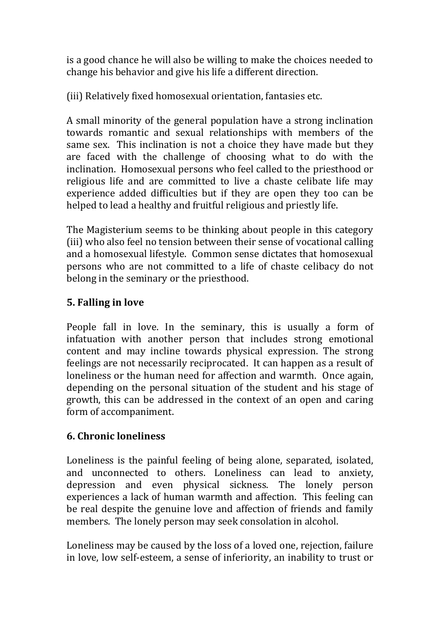is a good chance he will also be willing to make the choices needed to change his behavior and give his life a different direction.

(iii) Relatively fixed homosexual orientation, fantasies etc.

A small minority of the general population have a strong inclination towards romantic and sexual relationships with members of the same sex. This inclination is not a choice they have made but they are faced with the challenge of choosing what to do with the inclination. Homosexual persons who feel called to the priesthood or religious life and are committed to live a chaste celibate life may experience added difficulties but if they are open they too can be helped to lead a healthy and fruitful religious and priestly life.

The Magisterium seems to be thinking about people in this category (iii) who also feel no tension between their sense of vocational calling and a homosexual lifestyle. Common sense dictates that homosexual persons who are not committed to a life of chaste celibacy do not belong in the seminary or the priesthood.

## **5. Falling in love**

People fall in love. In the seminary, this is usually a form of infatuation with another person that includes strong emotional content and may incline towards physical expression. The strong feelings are not necessarily reciprocated. It can happen as a result of loneliness or the human need for affection and warmth. Once again, depending on the personal situation of the student and his stage of growth, this can be addressed in the context of an open and caring form of accompaniment.

# **6. Chronic loneliness**

Loneliness is the painful feeling of being alone, separated, isolated, and unconnected to others. Loneliness can lead to anxiety, depression and even physical sickness. The lonely person experiences a lack of human warmth and affection. This feeling can be real despite the genuine love and affection of friends and family members. The lonely person may seek consolation in alcohol.

Loneliness may be caused by the loss of a loved one, rejection, failure in love, low self-esteem, a sense of inferiority, an inability to trust or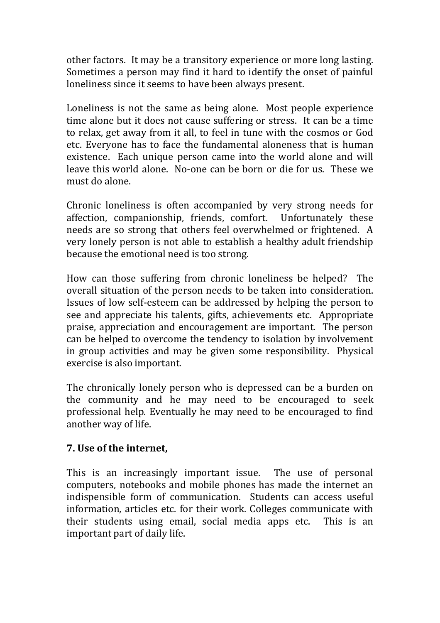other factors. It may be a transitory experience or more long lasting. Sometimes a person may find it hard to identify the onset of painful loneliness since it seems to have been always present.

Loneliness is not the same as being alone. Most people experience time alone but it does not cause suffering or stress. It can be a time to relax, get away from it all, to feel in tune with the cosmos or God etc. Everyone has to face the fundamental aloneness that is human existence. Each unique person came into the world alone and will leave this world alone. No-one can be born or die for us. These we must do alone.

Chronic loneliness is often accompanied by very strong needs for affection, companionship, friends, comfort. Unfortunately these needs are so strong that others feel overwhelmed or frightened. A very lonely person is not able to establish a healthy adult friendship because the emotional need is too strong.

How can those suffering from chronic loneliness be helped? The overall situation of the person needs to be taken into consideration. Issues of low self-esteem can be addressed by helping the person to see and appreciate his talents, gifts, achievements etc. Appropriate praise, appreciation and encouragement are important. The person can be helped to overcome the tendency to isolation by involvement in group activities and may be given some responsibility. Physical exercise is also important.

The chronically lonely person who is depressed can be a burden on the community and he may need to be encouraged to seek professional help. Eventually he may need to be encouraged to find another way of life.

#### **7. Use of the internet,**

This is an increasingly important issue. The use of personal computers, notebooks and mobile phones has made the internet an indispensible form of communication. Students can access useful information, articles etc. for their work. Colleges communicate with their students using email, social media apps etc. This is an important part of daily life.